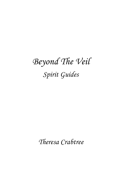## *Beyond The Veil Spirit Guides*

*Theresa Crabtree*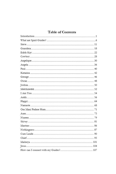## Table of Contents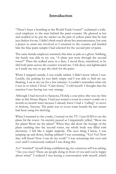## **Introduction**

"There's been a bombing at the World Trade Center!" exclaimed a wideeyed employee to the man behind the paint counter. He glanced at her and nodded as he put the sticker on the pint of yellow paint that he had just shaken for me. I didn't think much about her announcement, but sent a prayer to assist any involved as I returned to the counter and handed him the blue paint sample I had selected for the second pint of paint.

The same female employee returned, this time as pale as a ghost. Sobbing, she barely was able to cry out, "A plane just went through the second tower!" Then she walked away in a daze. I stood there, transfixed, as he slid both pints across the counter toward me. I felt dizzy and lightheaded as I made my way to pay the clerk for the paint.

When I stepped outside, I was totally rattled. I didn't know where I was. Luckily, the parking lot was fairly empty and I was able to find my car. Shaking, I sat in my car for a few minutes. I couldn't remember what city I was in or where I lived. "Calm down," I told myself. I thought that the reaction I was having was very strange.

Although I had moved to Sarasota, Florida a year prior, this was my first time at this Home Depot. I had just rented a room in a man's condo on a month-to-month basis because I already knew I had a "calling" to move to Sedona, Arizona. The paint was to cover some boards the last tenant had been using for shelving.

When I returned to the condo, I turned on the TV. I just HAD to see the plane hit the tower. An eternity passed as I impatiently yelled, "Show me the plane! Show me the plane!" When they did show the footage of the plane crashing into the second tower, my whole body was filled with electricity. I felt like I might implode. The next thing I knew, I was jumping up and down, feeling jubilant! I was screaming, "Yes! Yes! Now they will listen! Now I can do my work!" I was screaming this over and over until I consciously realized I was doing this.

As I "watched" myself doing a jubilation jig, my conscious self was asking, "Are you crazy? There are people dying in front of you and you're happy about what?" I realized I was having a conversation with myself, which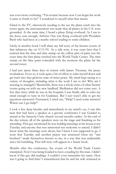was even more confusing. "I'm ecstatic because now I can begin the work I came to Earth to do!" I wondered to myself what that meant.

Glued to the TV, obsessively needing to the see the plane crash into the tower again, the announcement was made that all planes in the U.S. were grounded. At the same time, I heard a plane flying overhead. As I ran to the door, sure enough, Airforce One was flying overhead with President Bush who had been at a nearby school reading to some children.

Likely in another book I will share my full story of the bizarre events of that infamous day on  $9/11/01$ . As a side note, it was years later that I noticed that the time and date stamp on the yellow pint of paint was the exact time the first plane crashed into the World Trade Center. The time stamp on the blue paint coincided with the moment the plane hit the second tower.

I had just spent three days in retreat with James Twyman, the peace troubadour. Even so, it took quite a bit of effort to calm myself down and get back into that glorious state of inner peace. My mind kept racing to a variety of thoughts, including what is the work I am to do? Why am I reacting so strangely? Meanwhile, there was a whole series of other bizarre events going on with my new landlord. Meditation did not come easy. A few days later, while he was in the hospital, I was finally able to relax my mind enough to tune in for Guidance. But I just wasn't able to get my questions answered. Frustrated, I cried out, "Help! I need some answers! Where can I get help?"

I took a few deep breaths and immediately in my mind's eye, I saw this man that had been a speaker at a gnostic conference I was Guided to attend at the Sarasota Unity church several months earlier. At the end of the day retreat, all of the speakers were on the stage and thanking us for attending. This guy mentioned he was holding meetings at his house every Tuesday and anyone that was interested was welcome to attend. I didn't know what the meetings were about, but I knew I was supposed to go. I went that Tuesday and another prayer was answered when my "star brothers" made themselves known to me, in a way that was undeniable and a bit humbling. That full story will appear in a future book.

Months after the conference, the events of the World Trade Center transpired. Now I was being Guided to have a reading by this man. I didn't know if this guy did readings. I couldn't even remember his name. How was I going to find him? I remembered that he and his wife wintered in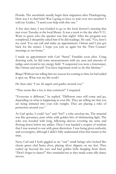Florida. The snowbirds usually begin their migration after Thanksgiving. How was I to find him? Was I going to have to wait over two months? I told my Guides, "I need your help with this one."

A few days later, I was Guided to go to the local dowser's meeting that met every Tuesday at the local library. It was a week to the day after 9/11. Want to guess who the speaker was that night? After the program was completed, I sheepishly asked him if he did readings. He said, "Yes, here's my card. You can call and make an appointment. Ortrun and I just got back for the winter. I hope you join us again for the 'First Contact' meetings at our home."

I made an appointment with Carl "Santa" Franklin soon after. Using dowsing rods, he did some measurements with my aura and amount of indigo and crystal in my energy field. "I suspected you were a forerunner, like Ortrun and myself. You have important work to do this lifetime."

Bingo! Without me telling him my reason for coming to him, he had nailed it spot on. What was my life work?

He then said, "I see 26 angels and guides around you."

"That seems like a lot; is that common?" I enquired.

"Everyone is different," he replied. "Different ones will come and go, depending on what is happening in your life. They are telling me that you are being initiated into your role tonight. They are placing a robe of protection around you."

As Carl spoke, I could "see" and "feel" a robe envelop me. The material was like gossamer, pure white with golden bits of shimmering light. The robe was hooded with long, billowing sleeves covering my arms and flowing down below my ankles. Then I was handed a scepter of wisdom that I was warned to use with great discretion. I was being given authority and sovereignty, although I didn't fully understand what that meant at the time.

Next, Carl and I both giggled as we "saw" small beings who looked like classic green clad Santa elves, placing silver slippers on my feet. They curled up beyond the toes and had golden bells dangling from them. "Don't forget to dance!" they reminded me as they made some silly dance moves.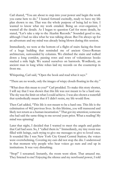Carl shared, "You are about to step into your power and begin the work you came here to do." I leaned forward excitedly, ready to have my life plan shown to me. That was the whole purpose of being led to him. I wanted to know what my work entailed. Being an over-organizer, I wanted all the details. As I began to question Carl for more details, he stated, "Let's take a trip to the Akashic Records." Sounded good to me, although I had no idea what he was talking about. But I'm always up for an adventure and my mind was already being blown during this session.

Immediately, we were at the bottom of a flight of stairs facing the front of a huge building that reminded me of ancient Greco-Roman architecture, surrounded by columns. We climbed the stairs and walked down a long corridor, passing rows and rows of voluminous books stacked a mile high. We seated ourselves on barstools. Wordlessly, an ancient man in long white robes laid my records on the countertop in front me.

Whispering, Carl said, "Open the book and read what it says."

"There are no words, only the images of wispy clouds floating in the sky."

"What does this mean to you?" Carl prodded. To make this story shorter, I will say that I was shown that this life was not meant to be a hard one. The sky was the limit on what I could achieve. I was also shown a waterfall that symbolically meant that if I didn't resist, my life would flow.

Then Carl added, "This life is not meant to be a hard one. This life is the culmination of 462 previous lives. In this lifetime, you will transcend and likely not return as a human incarnation." That got my attention; someone else had said the same thing to me several years prior. What a reading! My mind was spinning!

Later that night, I decided that I wanted to meet the angels and guides that Carl had seen. So, I "called them in." Immediately, my tiny room was filled with beings, each trying to give me messages to give to loved ones. It sounded like I was New York City Grand Central Station; the voices were overwhelming. Covering my ears did not stop the din. I understood in that moment why people who hear voices go nuts and end up in institutions. It was very disturbing.

"Stop!" I screamed. Instantly, the room went silent. That amazed me. They listened to me! Enjoying the silence and my newfound power, I told